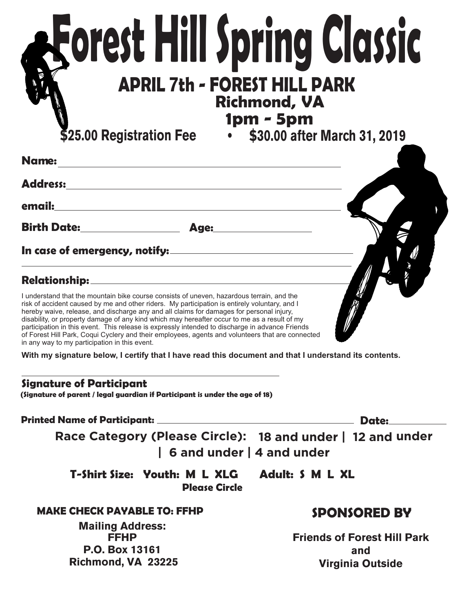# **Forest Hill Spring Classic APRIL 7th - FOREST HILL PARK Richmond, VA 1pm - 5pm \$25.00 Registration Fee • \$30.00 after March 31, 2019**

**Name: Address: email: Birth Date: Age: In case of emergency, notify:**

## **Relationship:**

I understand that the mountain bike course consists of uneven, hazardous terrain, and the risk of accident caused by me and other riders. My participation is entirely voluntary, and I hereby waive, release, and discharge any and all claims for damages for personal injury, disability, or property damage of any kind which may hereafter occur to me as a result of my participation in this event. This release is expressly intended to discharge in advance Friends of Forest Hill Park, Coqui Cyclery and their employees, agents and volunteers that are connected in any way to my participation in this event.

**With my signature below, I certify that I have read this document and that I understand its contents.**

#### **Signature of Participant**

**(Signature of parent / legal guardian if Participant is under the age of 18)**

**Printed Name of Participant: Date:**

**Race Category (Please Circle): 18 and under | 12 and under | 6 and under | 4 and under**

**T-Shirt Size: Youth: M L XLG Adult: S M L XL Please Circle**

### **MAKE CHECK PAYABLE TO: FFHP**

**Mailing Address: FFHP P.O. Box 13161 Richmond, VA 23225**

# **SPONSORED BY**

**Friends of Forest Hill Park and Virginia Outside**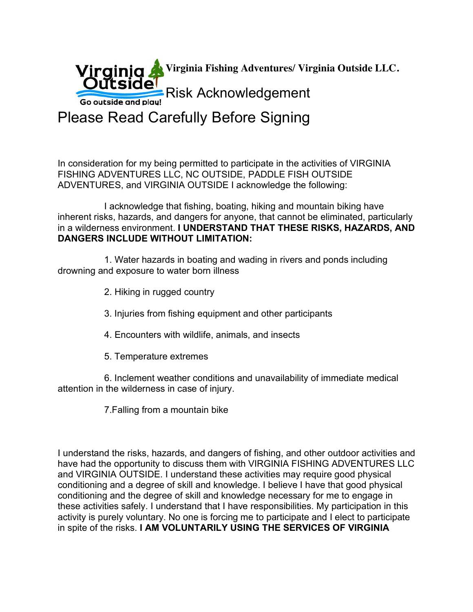**Virginia Fishing Adventures/ Virginia Outside LLC.**

**Outside** Risk Acknowledgement Go outside and play!

Please Read Carefully Before Signing

In consideration for my being permitted to participate in the activities of VIRGINIA FISHING ADVENTURES LLC, NC OUTSIDE, PADDLE FISH OUTSIDE ADVENTURES, and VIRGINIA OUTSIDE I acknowledge the following:

 I acknowledge that fishing, boating, hiking and mountain biking have inherent risks, hazards, and dangers for anyone, that cannot be eliminated, particularly in a wilderness environment. **I UNDERSTAND THAT THESE RISKS, HAZARDS, AND DANGERS INCLUDE WITHOUT LIMITATION:**

 1. Water hazards in boating and wading in rivers and ponds including drowning and exposure to water born illness

- 2. Hiking in rugged country
- 3. Injuries from fishing equipment and other participants
- 4. Encounters with wildlife, animals, and insects
- 5. Temperature extremes

 6. Inclement weather conditions and unavailability of immediate medical attention in the wilderness in case of injury.

7.Falling from a mountain bike

I understand the risks, hazards, and dangers of fishing, and other outdoor activities and have had the opportunity to discuss them with VIRGINIA FISHING ADVENTURES LLC and VIRGINIA OUTSIDE. I understand these activities may require good physical conditioning and a degree of skill and knowledge. I believe I have that good physical conditioning and the degree of skill and knowledge necessary for me to engage in these activities safely. I understand that I have responsibilities. My participation in this activity is purely voluntary. No one is forcing me to participate and I elect to participate in spite of the risks. **I AM VOLUNTARILY USING THE SERVICES OF VIRGINIA**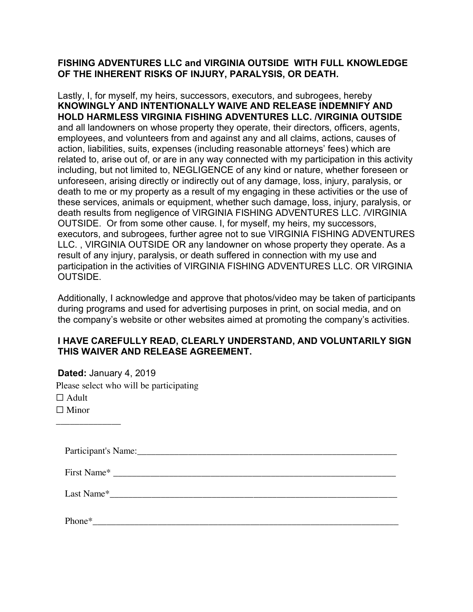#### **FISHING ADVENTURES LLC and VIRGINIA OUTSIDE WITH FULL KNOWLEDGE OF THE INHERENT RISKS OF INJURY, PARALYSIS, OR DEATH.**

Lastly, I, for myself, my heirs, successors, executors, and subrogees, hereby **KNOWINGLY AND INTENTIONALLY WAIVE AND RELEASE INDEMNIFY AND HOLD HARMLESS VIRGINIA FISHING ADVENTURES LLC. /VIRGINIA OUTSIDE** and all landowners on whose property they operate, their directors, officers, agents, employees, and volunteers from and against any and all claims, actions, causes of action, liabilities, suits, expenses (including reasonable attorneys' fees) which are related to, arise out of, or are in any way connected with my participation in this activity including, but not limited to, NEGLIGENCE of any kind or nature, whether foreseen or unforeseen, arising directly or indirectly out of any damage, loss, injury, paralysis, or death to me or my property as a result of my engaging in these activities or the use of these services, animals or equipment, whether such damage, loss, injury, paralysis, or death results from negligence of VIRGINIA FISHING ADVENTURES LLC. /VIRGINIA OUTSIDE. Or from some other cause. I, for myself, my heirs, my successors, executors, and subrogees, further agree not to sue VIRGINIA FISHING ADVENTURES LLC. , VIRGINIA OUTSIDE OR any landowner on whose property they operate. As a result of any injury, paralysis, or death suffered in connection with my use and participation in the activities of VIRGINIA FISHING ADVENTURES LLC. OR VIRGINIA OUTSIDE.

Additionally, I acknowledge and approve that photos/video may be taken of participants during programs and used for advertising purposes in print, on social media, and on the company's website or other websites aimed at promoting the company's activities.

#### **I HAVE CAREFULLY READ, CLEARLY UNDERSTAND, AND VOLUNTARILY SIGN THIS WAIVER AND RELEASE AGREEMENT.**

**Dated:** January 4, 2019 Please select who will be participating  $\Box$  Adult  $\Box$  Minor

| Participant's N.<br>Name: |  |
|---------------------------|--|
|                           |  |

First Name<sup>\*</sup>

\_\_\_\_\_\_\_\_\_\_\_\_\_\_

Last Name<sup>\*</sup>

Phone\*